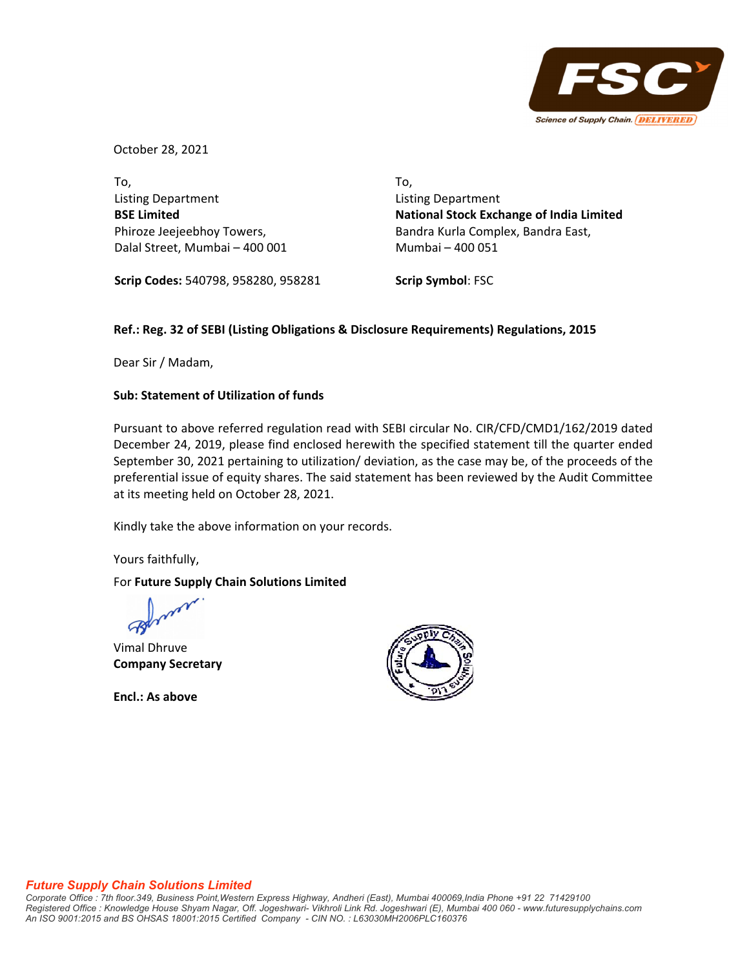

October 28, 2021

To, Listing Department **BSE Limited** Phiroze Jeejeebhoy Towers, Dalal Street, Mumbai – 400 001 To, Listing Department **National Stock Exchange of India Limited** Bandra Kurla Complex, Bandra East, Mumbai – 400 051

**Scrip Codes:** 540798, 958280, 958281

**Scrip Symbol**: FSC

# **Ref.: Reg. 32 of SEBI (Listing Obligations & Disclosure Requirements) Regulations, 2015**

Dear Sir / Madam,

## **Sub: Statement of Utilization of funds**

Pursuant to above referred regulation read with SEBI circular No. CIR/CFD/CMD1/162/2019 dated December 24, 2019, please find enclosed herewith the specified statement till the quarter ended September 30, 2021 pertaining to utilization/ deviation, as the case may be, of the proceeds of the preferential issue of equity shares. The said statement has been reviewed by the Audit Committee at its meeting held on October 28, 2021.

Kindly take the above information on your records.

Yours faithfully,

## For **Future Supply Chain Solutions Limited**

Vimal Dhruve **Company Secretary**

**Encl.: As above**



#### *Future Supply Chain Solutions Limited*